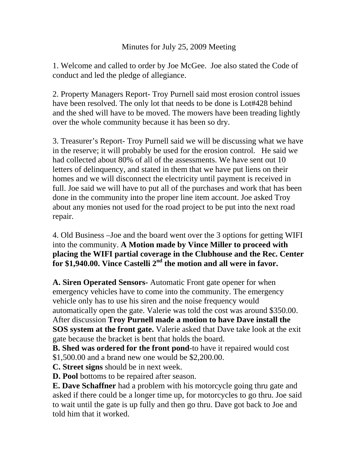## Minutes for July 25, 2009 Meeting

1. Welcome and called to order by Joe McGee. Joe also stated the Code of conduct and led the pledge of allegiance.

2. Property Managers Report- Troy Purnell said most erosion control issues have been resolved. The only lot that needs to be done is Lot#428 behind and the shed will have to be moved. The mowers have been treading lightly over the whole community because it has been so dry.

3. Treasurer's Report- Troy Purnell said we will be discussing what we have in the reserve; it will probably be used for the erosion control. He said we had collected about 80% of all of the assessments. We have sent out 10 letters of delinquency, and stated in them that we have put liens on their homes and we will disconnect the electricity until payment is received in full. Joe said we will have to put all of the purchases and work that has been done in the community into the proper line item account. Joe asked Troy about any monies not used for the road project to be put into the next road repair.

4. Old Business –Joe and the board went over the 3 options for getting WIFI into the community. **A Motion made by Vince Miller to proceed with placing the WIFI partial coverage in the Clubhouse and the Rec. Center**  for \$1,940.00. Vince Castelli 2<sup>nd</sup> the motion and all were in favor.

**A. Siren Operated Sensors-** Automatic Front gate opener for when emergency vehicles have to come into the community. The emergency vehicle only has to use his siren and the noise frequency would automatically open the gate. Valerie was told the cost was around \$350.00. After discussion **Troy Purnell made a motion to have Dave install the SOS system at the front gate.** Valerie asked that Dave take look at the exit gate because the bracket is bent that holds the board.

**B. Shed was ordered for the front pond**-to have it repaired would cost \$1,500.00 and a brand new one would be \$2,200.00.

**C. Street signs** should be in next week.

**D. Pool** bottoms to be repaired after season.

**E. Dave Schaffner** had a problem with his motorcycle going thru gate and asked if there could be a longer time up, for motorcycles to go thru. Joe said to wait until the gate is up fully and then go thru. Dave got back to Joe and told him that it worked.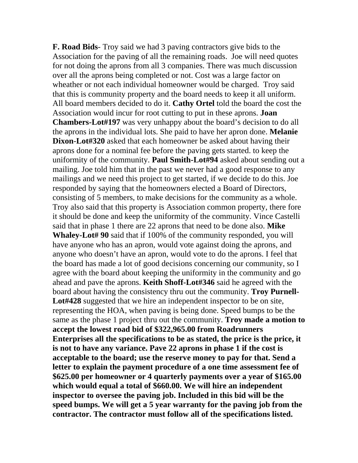**F. Road Bids**- Troy said we had 3 paving contractors give bids to the Association for the paving of all the remaining roads. Joe will need quotes for not doing the aprons from all 3 companies. There was much discussion over all the aprons being completed or not. Cost was a large factor on wheather or not each individual homeowner would be charged. Troy said that this is community property and the board needs to keep it all uniform. All board members decided to do it. **Cathy Ortel** told the board the cost the Association would incur for root cutting to put in these aprons. **Joan Chambers-Lot#197** was very unhappy about the board's decision to do all the aprons in the individual lots. She paid to have her apron done. **Melanie Dixon**-**Lot#320** asked that each homeowner be asked about having their aprons done for a nominal fee before the paving gets started. to keep the uniformity of the community. **Paul Smith-Lot#94** asked about sending out a mailing. Joe told him that in the past we never had a good response to any mailings and we need this project to get started, if we decide to do this. Joe responded by saying that the homeowners elected a Board of Directors, consisting of 5 members, to make decisions for the community as a whole. Troy also said that this property is Association common property, there fore it should be done and keep the uniformity of the community. Vince Castelli said that in phase 1 there are 22 aprons that need to be done also. **Mike Whaley-Lot# 90** said that if 100% of the community responded, you will have anyone who has an apron, would vote against doing the aprons, and anyone who doesn't have an apron, would vote to do the aprons. I feel that the board has made a lot of good decisions concerning our community, so I agree with the board about keeping the uniformity in the community and go ahead and pave the aprons. **Keith Shoff-Lot#346** said he agreed with the board about having the consistency thru out the community. **Troy Purnell-Lot#428** suggested that we hire an independent inspector to be on site, representing the HOA, when paving is being done. Speed bumps to be the same as the phase 1 project thru out the community. **Troy made a motion to accept the lowest road bid of \$322,965.00 from Roadrunners Enterprises all the specifications to be as stated, the price is the price, it is not to have any variance. Pave 22 aprons in phase 1 if the cost is acceptable to the board; use the reserve money to pay for that. Send a letter to explain the payment procedure of a one time assessment fee of \$625.00 per homeowner or 4 quarterly payments over a year of \$165.00 which would equal a total of \$660.00. We will hire an independent inspector to oversee the paving job. Included in this bid will be the speed bumps. We will get a 5 year warranty for the paving job from the contractor. The contractor must follow all of the specifications listed.**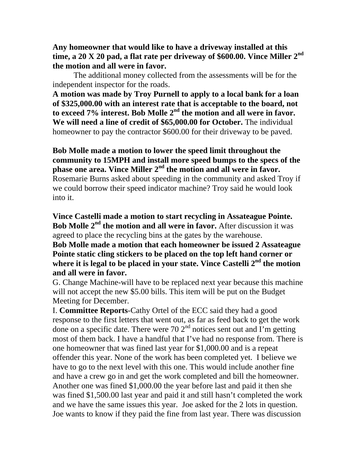**Any homeowner that would like to have a driveway installed at this time, a 20 X 20 pad, a flat rate per driveway of \$600.00. Vince Miller 2nd the motion and all were in favor.** 

The additional money collected from the assessments will be for the independent inspector for the roads.

**A motion was made by Troy Purnell to apply to a local bank for a loan of \$325,000.00 with an interest rate that is acceptable to the board, not to exceed 7% interest. Bob Molle 2nd the motion and all were in favor. We will need a line of credit of \$65,000.00 for October.** The individual homeowner to pay the contractor \$600.00 for their driveway to be paved.

**Bob Molle made a motion to lower the speed limit throughout the community to 15MPH and install more speed bumps to the specs of the phase one area. Vince Miller 2nd the motion and all were in favor.**  Rosemarie Burns asked about speeding in the community and asked Troy if we could borrow their speed indicator machine? Troy said he would look into it.

**Vince Castelli made a motion to start recycling in Assateague Pointe. Bob Molle 2nd the motion and all were in favor.** After discussion it was agreed to place the recycling bins at the gates by the warehouse.

**Bob Molle made a motion that each homeowner be issued 2 Assateague Pointe static cling stickers to be placed on the top left hand corner or where it is legal to be placed in your state. Vince Castelli 2nd the motion and all were in favor.** 

G. Change Machine-will have to be replaced next year because this machine will not accept the new \$5.00 bills. This item will be put on the Budget Meeting for December.

I. **Committee Reports**-Cathy Ortel of the ECC said they had a good response to the first letters that went out, as far as feed back to get the work done on a specific date. There were 70  $2<sup>nd</sup>$  notices sent out and I'm getting most of them back. I have a handful that I've had no response from. There is one homeowner that was fined last year for \$1,000.00 and is a repeat offender this year. None of the work has been completed yet. I believe we have to go to the next level with this one. This would include another fine and have a crew go in and get the work completed and bill the homeowner. Another one was fined \$1,000.00 the year before last and paid it then she was fined \$1,500.00 last year and paid it and still hasn't completed the work and we have the same issues this year. Joe asked for the 2 lots in question. Joe wants to know if they paid the fine from last year. There was discussion